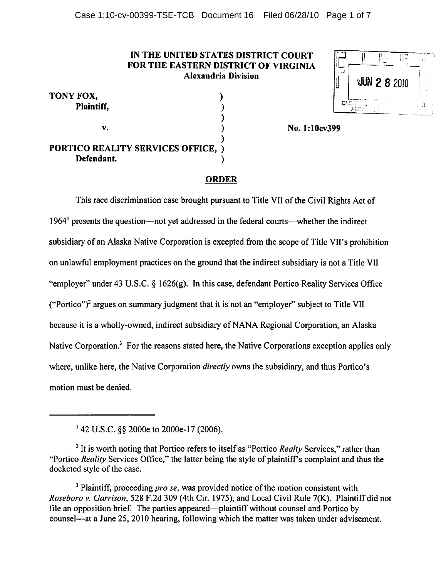### IN THE UNITED STATES DISTRICT COURT FOR THE EASTERN DISTRICT OF VIRGINIA Alexandria Division

|      |  | U(N 2 8 2010 |  |
|------|--|--------------|--|
| C'E. |  |              |  |

| TONY FOX,                                 |  |
|-------------------------------------------|--|
| Plaintiff,                                |  |
|                                           |  |
| V.                                        |  |
|                                           |  |
| <b>PORTICO REALITY SERVICES OFFICE, )</b> |  |
| Defendant.                                |  |

# No. 1:10cv399

### ORDER

This race discrimination case brought pursuant to Title VII of the Civil Rights Act of 1964' presents the question—not yet addressed in the federal courts—whether the indirect subsidiary of an Alaska Native Corporation is excepted from the scope of Title VII's prohibition on unlawful employment practices on the ground that the indirect subsidiary is not a Title VII "employer" under 43 U.S.C. § 1626(g). In this case, defendant Portico Reality Services Office ("Portico")2 argues on summary judgment that it is not an "employer" subject to Title VII because it is a wholly-owned, indirect subsidiary of NANA Regional Corporation, an Alaska Native Corporation.<sup>3</sup> For the reasons stated here, the Native Corporations exception applies only where, unlike here, the Native Corporation *directly* owns the subsidiary, and thus Portico's motion must be denied.

<sup>3</sup> Plaintiff, proceeding *pro se*, was provided notice of the motion consistent with Roseboro v. Garrison, 528 F.2d 309 (4th Cir. 1975), and Local Civil Rule 7(K). Plaintiff did not file an opposition brief. The parties appeared—plaintiff without counsel and Portico by counsel—at a June 25,2010 hearing, following which the matter was taken under advisement.

<sup>1 42</sup> U.S.C. §§ 2000e to 2000e-17 (2006).

 $2$  It is worth noting that Portico refers to itself as "Portico *Realty* Services," rather than "Portico Reality Services Office," the latter being the style of plaintiff's complaint and thus the docketed style of the case.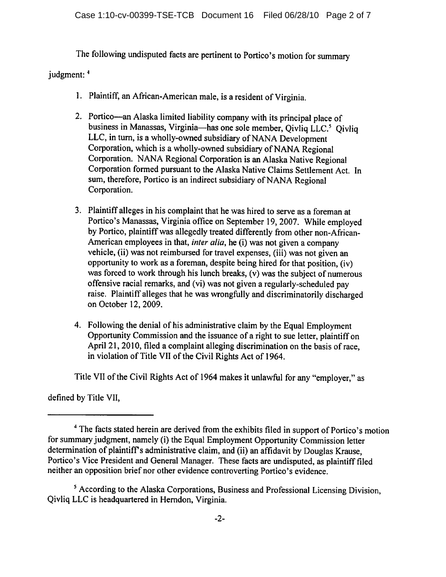The following undisputed facts are pertinent to Portico's motion for summary

judgment: 4

- 1. Plaintiff, an African-American male, is a resident of Virginia.
- 2. Portico—an Alaska limited liability company with its principal place of business in Manassas, Virginia—has one sole member, Qivliq LLC.<sup>5</sup> Qivliq LLC, in turn, is a wholly-owned subsidiary of NANA Development Corporation, which is a wholly-owned subsidiary of NANA Regional Corporation. NANA Regional Corporation is an Alaska Native Regional Corporation formed pursuant to the Alaska Native Claims Settlement Act. In sum, therefore, Portico is an indirect subsidiary of NANA Regional Corporation.
- 3. Plaintiff alleges in his complaint that he was hired to serve as a foreman at Portico's Manassas, Virginia office on September 19, 2007. While employed by Portico, plaintiff was allegedly treated differently from other non-African-American employees in that, inter alia, he (i) was not given a company vehicle, (ii) was not reimbursed for travel expenses, (iii) was not given an opportunity to work as a foreman, despite being hired for that position, (iv) was forced to work through his lunch breaks, (v) was the subject of numerous offensive racial remarks, and (vi) was not given a regularly-scheduled pay raise. Plaintiff alleges that he was wrongfully and discriminatorily discharged on October 12,2009.
- 4. Following the denial of his administrative claim by the Equal Employment Opportunity Commission and the issuance of a right to sue letter, plaintiff on April 21, 2010, filed a complaint alleging discrimination on the basis of race, in violation of Title VII of the Civil Rights Act of 1964.

Title VII of the Civil Rights Act of 1964 makes it unlawful for any "employer," as

defined by Title VII,

<sup>4</sup> The facts stated herein are derived from the exhibits filed in support of Portico's motion for summary judgment, namely (i) the Equal Employment Opportunity Commission letter determination of plaintiff's administrative claim, and (ii) an affidavit by Douglas Krause. Portico's Vice President and General Manager. These facts are undisputed, as plaintiff filed neither an opposition brief nor other evidence controverting Portico's evidence.

<sup>5</sup> According to the Alaska Corporations, Business and Professional Licensing Division, Qivliq LLC is headquartered in Herndon, Virginia.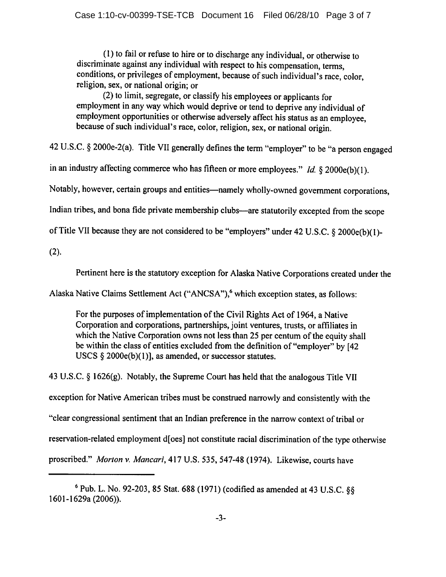(1) to fail or refuse to hire or to discharge any individual, or otherwise to discriminate against any individual with respect to his compensation, terms, conditions, or privileges of employment, because of such individual's race, color, religion, sex, or national origin; or

(2) to limit, segregate, or classify his employees or applicants for employment in any way which would deprive or tend to deprive any individual of employment opportunities or otherwise adversely affect his status as an employee, because of such individual's race, color, religion, sex, or national origin.

42 U.S.C. § 2000e-2(a). Title VII generally defines the term "employer" to be "a person engaged

in an industry affecting commerce who has fifteen or more employees." Id.  $\S 2000e(b)(1)$ .

Notably, however, certain groups and entities—namely wholly-owned government corporations,

Indian tribes, and bona fide private membership clubs—are statutorily excepted from the scope

of Title VII because they are not considered to be "employers" under 42 U.S.C. § 2000e(b)(l)-

(2).

Pertinent here is the statutory exception for Alaska Native Corporations created under the

Alaska Native Claims Settlement Act ("ANCSA"),<sup>6</sup> which exception states, as follows:

For the purposes of implementation of the Civil Rights Act of 1964, a Native Corporation and corporations, partnerships, joint ventures, trusts, or affiliates in which the Native Corporation owns not less than 25 per centum of the equity shall be within the class of entities excluded from the definition of "employer" by [42 USCS  $\S$  2000e(b)(1)], as amended, or successor statutes.

43 U.S.C. § 1626(g). Notably, the Supreme Court has held that the analogous Title VII exception for Native American tribes must be construed narrowly and consistently with the "clear congressional sentiment that an Indian preference in the narrow context of tribal or reservation-related employment d[oes] not constitute racial discrimination of the type otherwise proscribed." Morton v. Mancari, 417 U.S. 535, 547-48 (1974). Likewise, courts have

 $6$  Pub. L. No. 92-203, 85 Stat. 688 (1971) (codified as amended at 43 U.S.C.  $88$ 1601-1629a (2006)).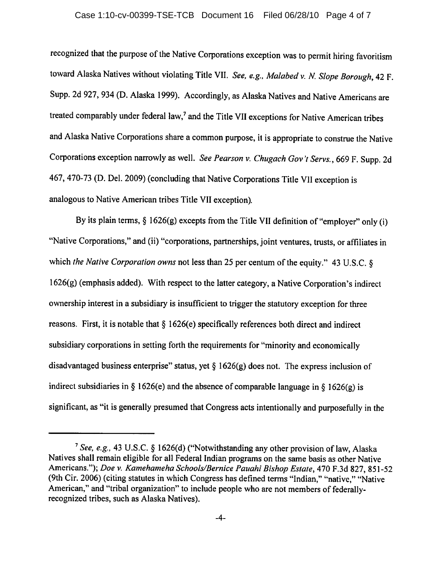#### Case 1:10-cv-00399-TSE-TCB Document 16 Filed 06/28/10 Page 4 of 7

recognized that the purpose of the Native Corporations exception was to permit hiring favoritism toward Alaska Natives without violating Title VII. See, e.g., Malabed v. N. Slope Borough, 42 F. Supp. 2d 927, 934 (D. Alaska 1999). Accordingly, as Alaska Natives and Native Americans are treated comparably under federal law,<sup>7</sup> and the Title VII exceptions for Native American tribes and Alaska Native Corporations share a common purpose, it is appropriate to construe the Native Corporations exception narrowly as well. See Pearson v. Chugach Gov't Servs., 669 F. Supp. 2d 467, 470-73 (D. Del. 2009) (concluding that Native Corporations Title VII exception is analogous to Native American tribes Title VII exception).

By its plain terms,  $\S 1626(g)$  excepts from the Title VII definition of "employer" only (i) "Native Corporations," and (ii) "corporations, partnerships, joint ventures, trusts, or affiliates in which the Native Corporation owns not less than 25 per centum of the equity." 43 U.S.C. § 1626(g) (emphasis added). With respect to the latter category, a Native Corporation's indirect ownership interest in a subsidiary is insufficient to trigger the statutory exception for three reasons. First, it is notable that  $\S 1626(e)$  specifically references both direct and indirect subsidiary corporations in setting forth the requirements for "minority and economically disadvantaged business enterprise" status, yet  $\S 1626(g)$  does not. The express inclusion of indirect subsidiaries in § 1626(e) and the absence of comparable language in § 1626(g) is significant, as "it is generally presumed that Congress acts intentionally and purposefully in the

<sup>&</sup>lt;sup>7</sup> See, e.g., 43 U.S.C. § 1626(d) ("Notwithstanding any other provision of law, Alaska Natives shall remain eligible for all Federal Indian programs on the same basis as other Native Americans."); Doe v. Kamehameha Schools/Bernice Pauahi Bishop Estate, 470 F.3d 827, 851-52 (9th Cir. 2006) (citing statutes in which Congress has defined terms "Indian," "native," "Native American," and "tribal organization" to include people who are not members of federallyrecognized tribes, such as Alaska Natives).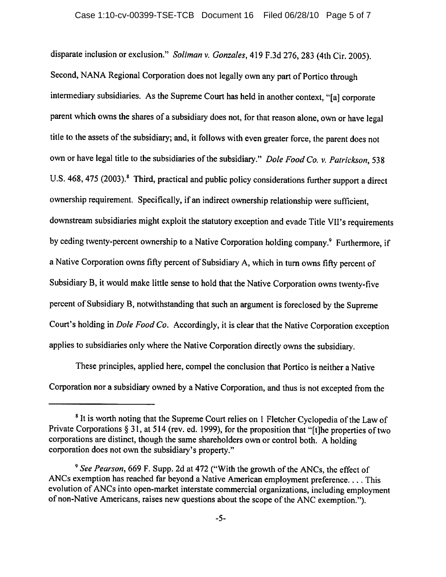#### Case 1:10-cv-00399-TSE-TCB Document 16 Filed 06/28/10 Page 5 of 7

disparate inclusion or exclusion." Soliman v. Gonzales, 419 F.3d 276, 283 (4th Cir. 2005). Second, NANA Regional Corporation does not legally own any part of Portico through intermediary subsidiaries. As the Supreme Court has held in another context, "[a] corporate parent which owns the shares of a subsidiary does not, for that reason alone, own or have legal title to the assets of the subsidiary; and, it follows with even greater force, the parent does not own or have legal title to the subsidiaries of the subsidiary." Dole Food Co. v. Patrickson, 538 U.S. 468, 475 (2003).<sup>8</sup> Third, practical and public policy considerations further support a direct ownership requirement. Specifically, if an indirect ownership relationship were sufficient, downstream subsidiaries might exploit the statutory exception and evade Title VII's requirements by ceding twenty-percent ownership to a Native Corporation holding company.<sup>9</sup> Furthermore, if a Native Corporation owns fifty percent of Subsidiary A, which in turn owns fifty percent of Subsidiary B, it would make little sense to hold that the Native Corporation owns twenty-five percent of Subsidiary B, notwithstanding that such an argument is foreclosed by the Supreme Court's holding in Dole Food Co. Accordingly, it is clear that the Native Corporation exception applies to subsidiaries only where the Native Corporation directly owns the subsidiary.

These principles, applied here, compel the conclusion that Portico is neither a Native Corporation nor a subsidiary owned by a Native Corporation, and thus is not excepted from the

<sup>&</sup>lt;sup>8</sup> It is worth noting that the Supreme Court relies on 1 Fletcher Cyclopedia of the Law of Private Corporations § 31, at 514 (rev. ed. 1999), for the proposition that "[t]he properties of two corporations are distinct, though the same shareholders own or control both. A holding corporation does not own the subsidiary's property."

<sup>&</sup>lt;sup>9</sup> See Pearson, 669 F. Supp. 2d at 472 ("With the growth of the ANCs, the effect of ANCs exemption has reached far beyond a Native American employment preference.... This evolution of ANCs into open-market interstate commercial organizations, including employment of non-Native Americans, raises new questions about the scope of the ANC exemption.").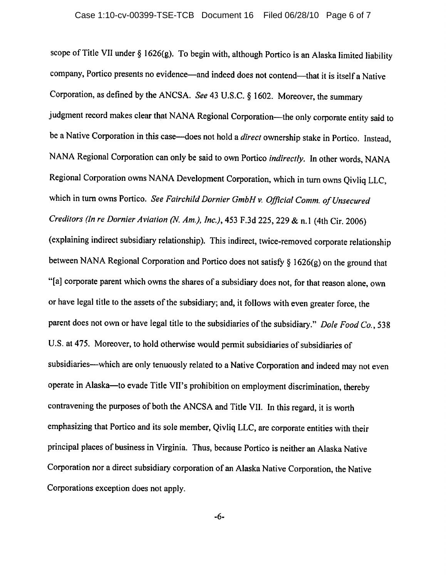scope of Title VII under § 1626(g). To begin with, although Portico is an Alaska limited liability company, Portico presents no evidence—and indeed does not contend—that it is itself a Native Corporation, as defined by the ANCSA. See 43 U.S.C. § 1602. Moreover, the summary judgment record makes clear that NANA Regional Corporation—the only corporate entity said to be a Native Corporation in this case—does not hold a *direct* ownership stake in Portico. Instead, NANA Regional Corporation can only be said to own Portico indirectly. In other words, NANA Regional Corporation owns NANA Development Corporation, which in turn owns Qivliq LLC, which in turn owns Portico. See Fairchild Dornier GmbH v. Official Comm. of Unsecured Creditors (In re Dormer Aviation (N. Am.), Inc.), 453 F.3d 225, 229 & n.l (4th Cir. 2006) (explaining indirect subsidiary relationship). This indirect, twice-removed corporate relationship between NANA Regional Corporation and Portico does not satisfy § 1626(g) on the ground that "[a] corporate parent which owns the shares of a subsidiary does not, for that reason alone, own or have legal title to the assets of the subsidiary; and, it follows with even greater force, the parent does not own or have legal title to the subsidiaries of the subsidiary." Dole Food Co., 538 U.S. at 475. Moreover, to hold otherwise would permit subsidiaries of subsidiaries of subsidiaries—which are only tenuously related to a Native Corporation and indeed may not even operate in Alaska—to evade Title VII's prohibition on employment discrimination, thereby contravening the purposes of both the ANCSA and Title VII. In this regard, it is worth emphasizing that Portico and its sole member, Qivliq LLC, are corporate entities with their principal places of business in Virginia. Thus, because Portico is neither an Alaska Native Corporation nor a direct subsidiary corporation of an Alaska Native Corporation, the Native Corporations exception does not apply.

-6-